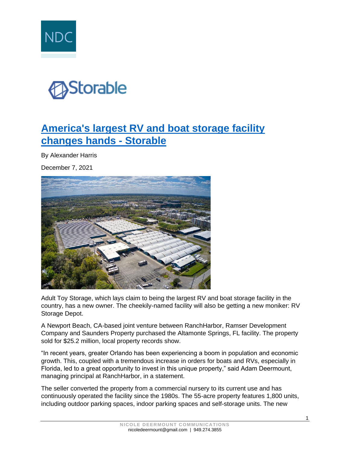



## **[America's largest RV and boat storage facility](https://www.storable.com/storage-beat/adult-toy-storage/)  [changes hands -](https://www.storable.com/storage-beat/adult-toy-storage/) Storable**

By Alexander Harris

December 7, 2021



Adult Toy Storage, which lays claim to being the largest RV and boat storage facility in the country, has a new owner. The cheekily-named facility will also be getting a new moniker: RV Storage Depot.

A Newport Beach, CA-based joint venture between RanchHarbor, Ramser Development Company and Saunders Property purchased the Altamonte Springs, FL facility. The property sold for \$25.2 million, local property records show.

"In recent years, greater Orlando has been experiencing a boom in population and economic growth. This, coupled with a tremendous increase in orders for boats and RVs, especially in Florida, led to a great opportunity to invest in this unique property," said Adam Deermount, managing principal at RanchHarbor, in a statement.

The seller converted the property from a commercial nursery to its current use and has continuously operated the facility since the 1980s. The 55-acre property features 1,800 units, including outdoor parking spaces, indoor parking spaces and self-storage units. The new